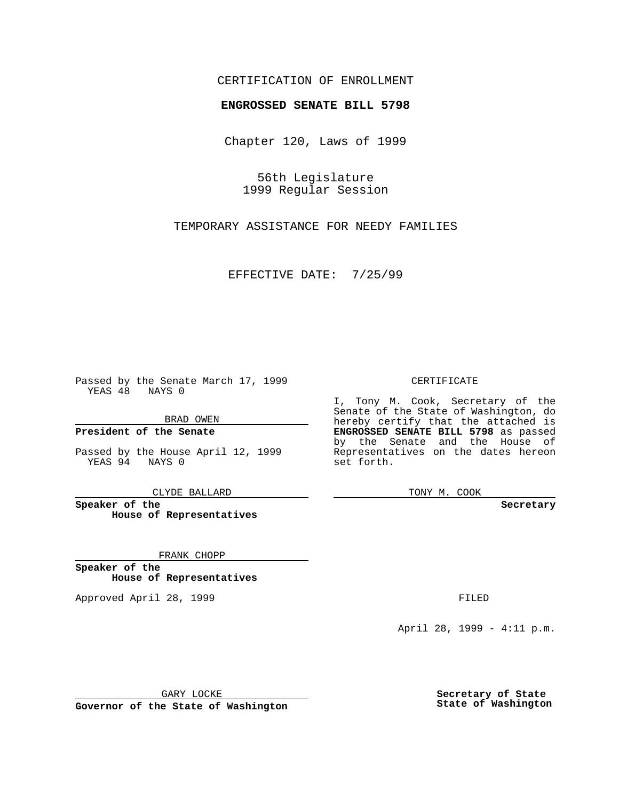## CERTIFICATION OF ENROLLMENT

# **ENGROSSED SENATE BILL 5798**

Chapter 120, Laws of 1999

56th Legislature 1999 Regular Session

TEMPORARY ASSISTANCE FOR NEEDY FAMILIES

EFFECTIVE DATE: 7/25/99

Passed by the Senate March 17, 1999 YEAS 48 NAYS 0

BRAD OWEN

**President of the Senate**

Passed by the House April 12, 1999 YEAS 94 NAYS 0

CLYDE BALLARD

**Speaker of the House of Representatives**

FRANK CHOPP

**Speaker of the House of Representatives**

Approved April 28, 1999 **FILED** 

### CERTIFICATE

I, Tony M. Cook, Secretary of the Senate of the State of Washington, do hereby certify that the attached is **ENGROSSED SENATE BILL 5798** as passed by the Senate and the House of Representatives on the dates hereon set forth.

TONY M. COOK

#### **Secretary**

April 28, 1999 - 4:11 p.m.

GARY LOCKE

**Governor of the State of Washington**

**Secretary of State State of Washington**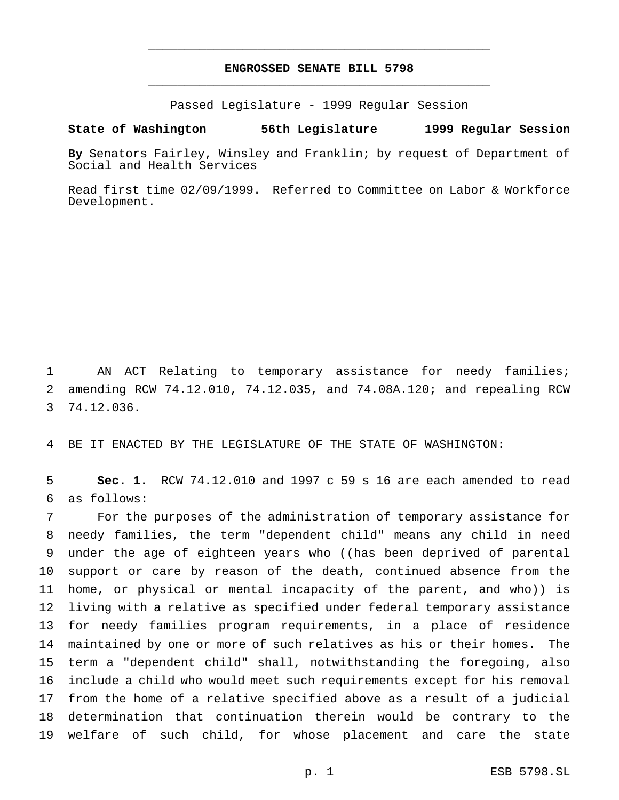## **ENGROSSED SENATE BILL 5798** \_\_\_\_\_\_\_\_\_\_\_\_\_\_\_\_\_\_\_\_\_\_\_\_\_\_\_\_\_\_\_\_\_\_\_\_\_\_\_\_\_\_\_\_\_\_\_

\_\_\_\_\_\_\_\_\_\_\_\_\_\_\_\_\_\_\_\_\_\_\_\_\_\_\_\_\_\_\_\_\_\_\_\_\_\_\_\_\_\_\_\_\_\_\_

Passed Legislature - 1999 Regular Session

### **State of Washington 56th Legislature 1999 Regular Session**

**By** Senators Fairley, Winsley and Franklin; by request of Department of Social and Health Services

Read first time 02/09/1999. Referred to Committee on Labor & Workforce Development.

1 AN ACT Relating to temporary assistance for needy families; 2 amending RCW 74.12.010, 74.12.035, and 74.08A.120; and repealing RCW 3 74.12.036.

4 BE IT ENACTED BY THE LEGISLATURE OF THE STATE OF WASHINGTON:

5 **Sec. 1.** RCW 74.12.010 and 1997 c 59 s 16 are each amended to read 6 as follows:

 For the purposes of the administration of temporary assistance for needy families, the term "dependent child" means any child in need 9 under the age of eighteen years who ((has been deprived of parental 10 support or care by reason of the death, continued absence from the 11 home, or physical or mental incapacity of the parent, and who)) is living with a relative as specified under federal temporary assistance for needy families program requirements, in a place of residence maintained by one or more of such relatives as his or their homes. The term a "dependent child" shall, notwithstanding the foregoing, also include a child who would meet such requirements except for his removal from the home of a relative specified above as a result of a judicial determination that continuation therein would be contrary to the welfare of such child, for whose placement and care the state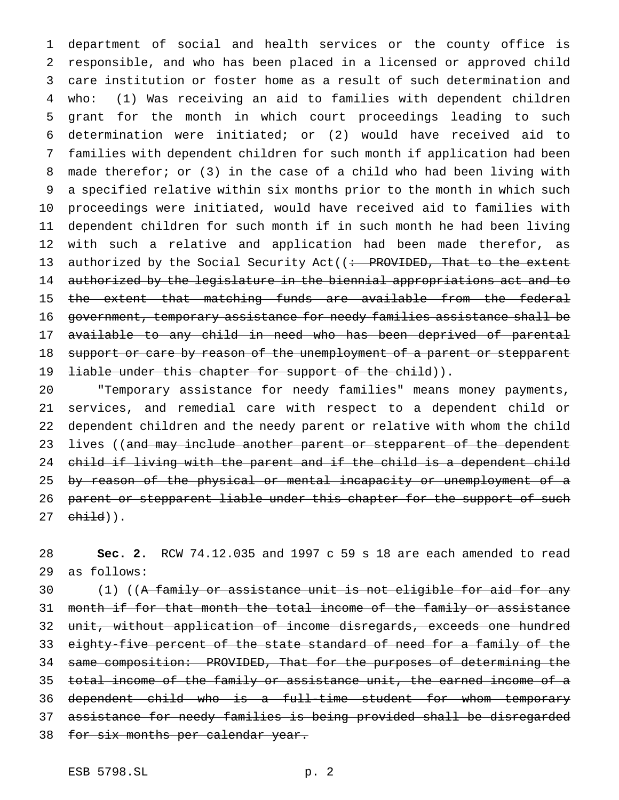department of social and health services or the county office is responsible, and who has been placed in a licensed or approved child care institution or foster home as a result of such determination and who: (1) Was receiving an aid to families with dependent children grant for the month in which court proceedings leading to such determination were initiated; or (2) would have received aid to families with dependent children for such month if application had been made therefor; or (3) in the case of a child who had been living with a specified relative within six months prior to the month in which such proceedings were initiated, would have received aid to families with dependent children for such month if in such month he had been living with such a relative and application had been made therefor, as 13 authorized by the Social Security Act((: PROVIDED, That to the extent authorized by the legislature in the biennial appropriations act and to the extent that matching funds are available from the federal government, temporary assistance for needy families assistance shall be available to any child in need who has been deprived of parental 18 support or care by reason of the unemployment of a parent or stepparent 19 <del>liable under this chapter for support of the child</del>)).

 "Temporary assistance for needy families" means money payments, services, and remedial care with respect to a dependent child or dependent children and the needy parent or relative with whom the child 23 lives ((and may include another parent or stepparent of the dependent child if living with the parent and if the child is a dependent child 25 by reason of the physical or mental incapacity or unemployment of a 26 parent or stepparent liable under this chapter for the support of such child)).

 **Sec. 2.** RCW 74.12.035 and 1997 c 59 s 18 are each amended to read as follows:

30 (1) ((A family or assistance unit is not eligible for aid for any 31 month if for that month the total income of the family or assistance unit, without application of income disregards, exceeds one hundred eighty-five percent of the state standard of need for a family of the same composition: PROVIDED, That for the purposes of determining the 35 total income of the family or assistance unit, the earned income of a dependent child who is a full-time student for whom temporary assistance for needy families is being provided shall be disregarded 38 for six months per calendar year.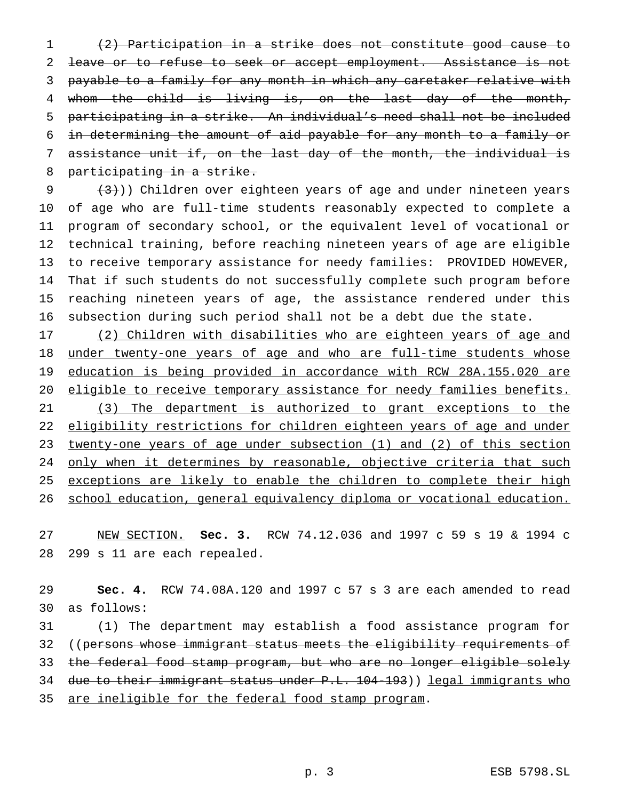(2) Participation in a strike does not constitute good cause to 2 leave or to refuse to seek or accept employment. Assistance is not payable to a family for any month in which any caretaker relative with whom the child is living is, on the last day of the month, participating in a strike. An individual's need shall not be included in determining the amount of aid payable for any month to a family or assistance unit if, on the last day of the month, the individual is participating in a strike.

 $(3)$ )) Children over eighteen years of age and under nineteen years of age who are full-time students reasonably expected to complete a program of secondary school, or the equivalent level of vocational or technical training, before reaching nineteen years of age are eligible to receive temporary assistance for needy families: PROVIDED HOWEVER, That if such students do not successfully complete such program before reaching nineteen years of age, the assistance rendered under this subsection during such period shall not be a debt due the state.

17 (2) Children with disabilities who are eighteen years of age and 18 under twenty-one years of age and who are full-time students whose education is being provided in accordance with RCW 28A.155.020 are 20 eligible to receive temporary assistance for needy families benefits. (3) The department is authorized to grant exceptions to the 22 eligibility restrictions for children eighteen years of age and under twenty-one years of age under subsection (1) and (2) of this section 24 only when it determines by reasonable, objective criteria that such 25 exceptions are likely to enable the children to complete their high school education, general equivalency diploma or vocational education.

 NEW SECTION. **Sec. 3.** RCW 74.12.036 and 1997 c 59 s 19 & 1994 c 299 s 11 are each repealed.

 **Sec. 4.** RCW 74.08A.120 and 1997 c 57 s 3 are each amended to read as follows:

 (1) The department may establish a food assistance program for 32 ((persons whose immigrant status meets the eligibility requirements of 33 the federal food stamp program, but who are no longer eligible solely 34 due to their immigrant status under P.L. 104-193)) legal immigrants who 35 are ineligible for the federal food stamp program.